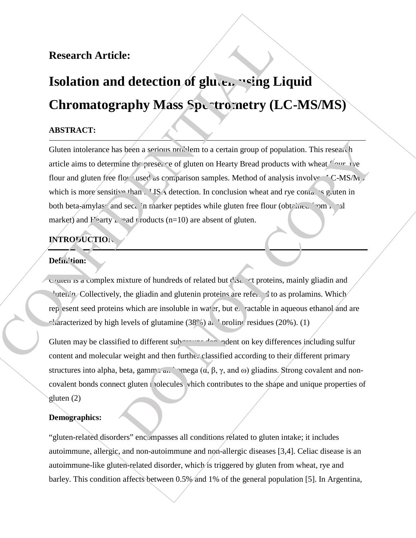# **Research Article:**

# **Isolation and detection of glutel wing Liquid Chromatography Mass Spectrometry (LC-MS/MS)**

## **ABSTRACT:**

Gluten intolerance has been a serious problem to a certain group of population. This research article aims to determine the presence of gluten on Hearty Bread products with wheat flour, rye flour and gluten free flow used as comparison samples. Method of analysis involve  $\sim$  C-MS/M which is more sensitive than FLISA detection. In conclusion wheat and rye contains gluten in both beta-amylas and secal in marker peptides while gluten free flour (obtained from local market) and  $F$ earty  $\Box$  and products (n=10) are absent of gluten.

## **INTRODUCTION:**

#### **Definition:**

Gluten is a complex mixture of hundreds of related but  $d$  is  $\mathcal{L}$  ot proteins, mainly gliadin and <sup>1</sup> utenin. Collectively, the gliadin and glutenin proteins are referent to as prolamins. Which rep esent seed proteins which are insoluble in water, but extractable in aqueous ethanol and are characterized by high levels of glutamine  $(38^\circ)$  and proline residues (20%). (1)

Gluten may be classified to different subgroups dependent on key differences including sulfur content and molecular weight and then further classified according to their different primary structures into alpha, beta, gamma  $a_n$  mega  $(\alpha, \beta, \gamma, \alpha)$  gliadins. Strong covalent and noncovalent bonds connect gluten molecules which contributes to the shape and unique properties of gluten (2)

#### **Demographics:**

"gluten-related disorders" encompasses all conditions related to gluten intake; it includes autoimmune, allergic, and non-autoimmune and non-allergic diseases [3,4]. Celiac disease is an autoimmune-like gluten-related disorder, which is triggered by gluten from wheat, rye and barley. This condition affects between 0.5% and 1% of the general population [5]. In Argentina,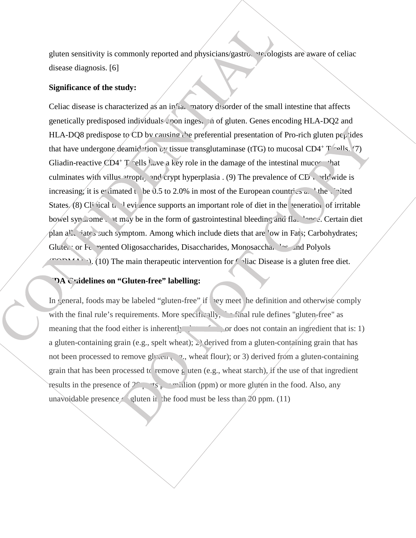gluten sensitivity is commonly reported and physicians/gastroenterologists are aware of celiac disease diagnosis. [6]

#### **Significance of the study:**

Celiac disease is characterized as an inflame matory disorder of the small intestine that affects genetically predisposed individuals upon ingestion of gluten. Genes encoding HLA-DQ2 and HLA-DQ8 predispose to CD by causing the preferential presentation of Pro-rich gluten pe<sub>p</sub>tides that have undergone deamidation by tissue transglutaminase (tTG) to mucosal CD4+ T  $\sim$  11s. (7) Gliadin-reactive  $\angle CD4^+$  T sells have a key role in the damage of the intestinal mucosariat culminates with villus atrophy and crypt hyperplasia . (9) The prevalence of  $\overline{\text{CD}}$  worldwide is increasing; it is estimated to be 0.5 to 2.0% in most of the European countries  $\alpha$ , the United States. (8) Clinical trial evidence supports an important role of diet in the generation of irritable bowel syn nome. At may be in the form of gastrointestinal bleeding and flatulence. Certain diet plan alleviates such symptom. Among which include diets that are low in Fats; Carbohydrates; Gluten; or Ft. nented Oligosaccharides, Disaccharides, Monosaccharides, and Polyols  $T<sub>CDM</sub>$ , (10) The main therapeutic intervention for Celiac Disease is a gluten free diet.

#### **PA Cuidelines on "Gluten-free" labelling:**

In general, foods may be labeled "gluten-free" if  $\log$  meet the definition and otherwise comply with the final rule's requirements. More specifically,  $\therefore$  final rule defines "gluten-free" as meaning that the food either is inherently gluten free; or does not contain an ingredient that is: 1) a gluten-containing grain (e.g., spelt wheat);  $\geq$  derived from a gluten-containing grain that has not been processed to remove gluten (e.g., wheat flour); or 3) derived from a gluten-containing grain that has been processed to remove gluten (e.g., wheat starch), if the use of that ingredient results in the presence of  $2^{\circ}$  and  $\frac{1}{2}$  in the food. Also, any unavoidable presence of gluten in the food must be less than  $20$  ppm. (11)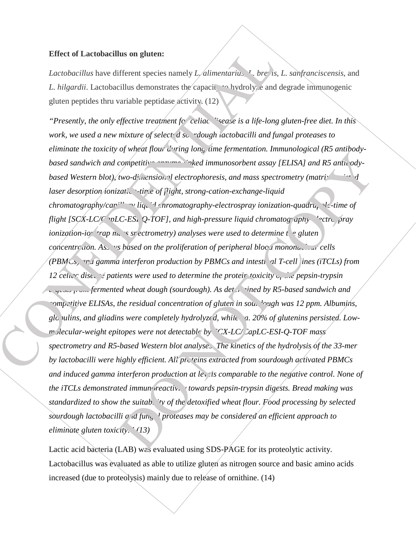#### **Effect of Lactobacillus on gluten:**

*Lactobacillus* have different species namely *L. alimentarius*, *L. brevis*, *L. sanfranciscensis*, and *L. hilgardii.* Lactobacillus demonstrates the capacity to hydrolyze and degrade immunogenic gluten peptides thru variable peptidase activity. (12)

*Presently, the only effective treatment for celiac disease is a life-long gluten-free diet. In this* " *work, we used a new mixture of select d sourdough lactobacilli and fungal proteases to eliminate the toxicity of wheat flour during long-time fermentation. Immunological (R5 antibodybased sandwich and competitive* entries in vided immunosorbent assay [ELISA] and R5 antibody*based Western blot), two-dimensional electrophoresis, and mass spectrometry (matrix-assimidated dimensional dimensional dimensional dimensional dimensional dimensional dimensional dimensional dimensional dimensional dimen laser desorption ionization-time of flight, strong-cation-exchange-liquid chromatography/carillary liquid hromatography-electrospray ionization-quadrupole-time of flight [SCX-LC/C* pLC-ESI-Q-TOF], and high-pressure liquid chromatography-lectrospray *ionization-io trap mass spectrometry) analyses were used to determine the gluten concentration. Assams based on the proliferation of peripheral blood mononuclear cells (PBMCs, and gamma interferon production by PBMCs and intestinal T-cell lines (iTCLs) from* 12 celian disease patients were used to determine the protein toxicity of the pepsin-trypsin *digests from fermented wheat dough (sourdough). As determined by R5-based sandwich and competitive ELISAs, the residual concentration of gluten in sou. 'ough was 12 ppm. Albumins,* glo *ulins, and gliadins were completely hydrolyzed, while a. 20% of glutenins persisted. Lowm*-slecular-weight epitopes were not detectable by *SCX-LC/CapLC-ESI-Q-TOF mass spectrometry and R5-based Western blot analyses. The kinetics of the hydrolysis of the 33-mer by lactobacilli were highly efficient. All proteins extracted from sourdough activated PBMCs and induced gamma interferon production at levels comparable to the negative control. None of the iTCLs demonstrated immunoreactivity towards pepsin-trypsin digests. Bread making was standardized to show the suitability of the detoxified wheat flour. Food processing by selected sourdough lactobacilli*  $\sigma$  *d fung* <sup>1</sup> proteases may be considered an efficient approach to *eliminate gluten toxicity." (13)*

Lactic acid bacteria (LAB) was evaluated using SDS-PAGE for its proteolytic activity. Lactobacillus was evaluated as able to utilize gluten as nitrogen source and basic amino acids increased (due to proteolysis) mainly due to release of ornithine. (14)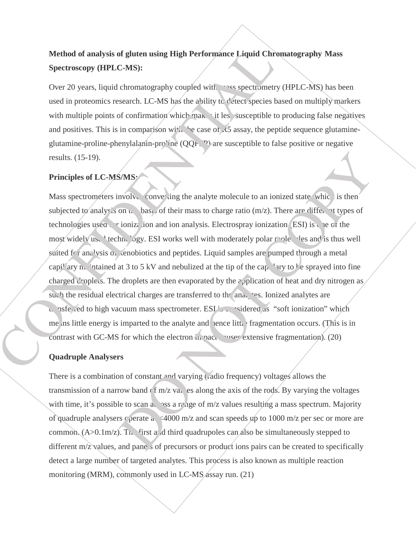# **Method of analysis of gluten using High Performance Liquid Chromatography Mass Spectroscopy (HPLC-MS):**

Over 20 years, liquid chromatography coupled with mass spectrometry (HPLC-MS) has been used in proteomics research. LC-MS has the ability to detect species based on multiply markers with multiple points of confirmation which makes it less susceptible to producing false negatives and positives. This is in comparison with the case of  $\angle 5$  assay, the peptide sequence glutamineglutamine-proline-phenylalanin-pro'ine  $(QQF, P)$  are susceptible to false positive or negative results. (15-19).

## **Principles of LC-MS/MS:**

Mass spectrometers involved converting the analyte molecule to an ionized state, which is then subjected to analysis on  $\mu$  basis of their mass to charge ratio (m/z). There are different types of technologies used for ionization and ion analysis. Electrospray ionization (ESI) is the of the most widely use technology. ESI works well with moderately polar molecules and is thus well suited for analysis  $\alpha$ , enobiotics and peptides. Liquid samples are pumped through a metal capillary matriced at 3 to 5 kV and nebulized at the tip of the capillary to be sprayed into fine charged droplets. The droplets are then evaporated by the application of heat and dry nitrogen as such the residual electrical charges are transferred to the analytes. Ionized analytes are  $t_{r}$  as ferred to high vacuum mass spectrometer. ESI is considered as "soft ionization" which me us little energy is imparted to the analyte and hence litt. fragmentation occurs. (This is in contrast with GC-MS for which the electron in pact causes extensive fragmentation).  $(20)$ 

## **Quadruple Analysers**

There is a combination of constant and varying (radio frequency) voltages allows the transmission of a narrow band  $(f/m/z)$  values along the axis of the rods. By varying the voltages with time, it's possible to scan across a range of  $m/z$  values resulting a mass spectrum. Majority of quadruple analysers  $\epsilon$  perate at <4000 m/z and scan speeds up to 1000 m/z per sec or more are common.  $(A>0.1m/z)$ . The first and third quadrupoles can also be simultaneously stepped to different  $m/z$  values, and pane s of precursors or product ions pairs can be created to specifically detect a large number of targeted analytes. This process is also known as multiple reaction monitoring (MRM), commonly used in LC-MS  $\triangle$ ssay run. (21)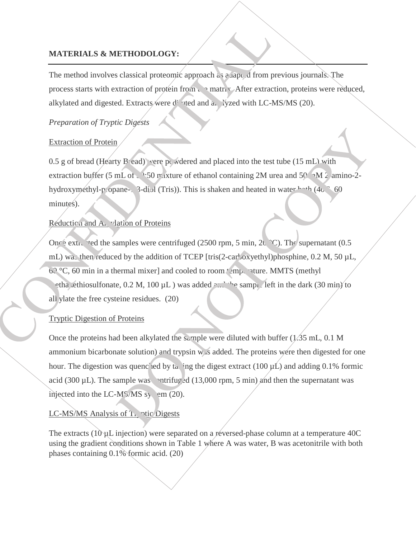## **MATERIALS & METHODOLOGY:**

The method involves classical proteomic approach as  $\partial A$  appled from previous journals. The process starts with extraction of protein from  $\mathfrak{t}$  and matrix. After extraction, proteins were reduced, alkylated and digested. Extracts/were diluted and analyzed with LC-MS/MS (20).

#### *Preparation of Tryptic Digests*

#### Extraction of Protein

 $0.5$  g of bread (Hearty B ead) vere powdered and placed into the test tube (15 mL) with extraction buffer (5 mL of  $\sim$  50 mixture of ethanol containing 2M urea and 50 mM 2-amino-2hydroxymethyl-propane-1, 3-diol (Tris)). This is shaken and heated in water  $b^{-1}$  (40  $^{\circ}$  60 minutes).

#### Reduction and Alkylation of Proteins

Once extracted the samples were centrifuged (2500 rpm, 5 min,  $2Q^{\circ}C$ ). The supernatant (0.5 mL) was then reduced by the addition of TCEP [tris(2-car<sup>l</sup>oxyethyl)phosphine, 0.2 M, 50 µL, 60 °C, 60 min in a thermal mixer] and cooled to room  $t$  emperature. MMTS (methyl etha ethiosulfonate,  $0.2 \text{ M}$ ,  $100 \mu \text{L}$ ) was added  $2.2 \text{ m}$  the sample left in the dark (30 min) to all ylate the free cysteine residues.  $(20)$ 

#### Tryptic Digestion of Proteins

Once the proteins had been alkylated the sample were diluted with buffer  $(1.35 \text{ mL}, 0.1 \text{ M})$ ammonium bicarbonate solution) and trypsin  $w<sub>4</sub>$ s added. The proteins were then digested for one hour. The digestion was quenc<sup>1</sup> ed by taking the digest extract (100  $\mu$ L) and adding 0.1% formic acid (300  $\mu$ L). The sample was centrifuged (13,000 rpm, 5 min) and then the supernatant was injected into the LC-M $\frac{5}{MS}$  syvem (20).

#### LC-MS/MS Analysis of  $T<sub>r</sub>$  vtic Digests

The extracts ( $10 \mu$ L injection) were separated on a reversed-phase column at a temperature 40C using the gradient conditions shown in Table 1 where A was water, B was acetonitrile with both phases containing 0.1% formic acid. (20)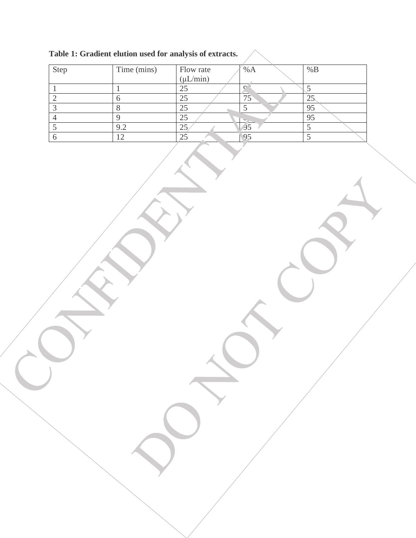| Step | Time (mins) | Flow rate     | %A          | %B  |
|------|-------------|---------------|-------------|-----|
|      |             | $(\mu L/min)$ |             |     |
|      |             | 25            | $\cap$      |     |
|      |             | 25            | 75          | لدك |
|      |             | 25            |             | 95  |
|      |             | 25            |             | 95  |
|      | 9.2         | 25            | $\sqrt{95}$ |     |
|      | n           |               | 95          |     |

 $\overline{\phantom{a}}$ 

**Table 1: Gradient elution used for analysis of extracts.**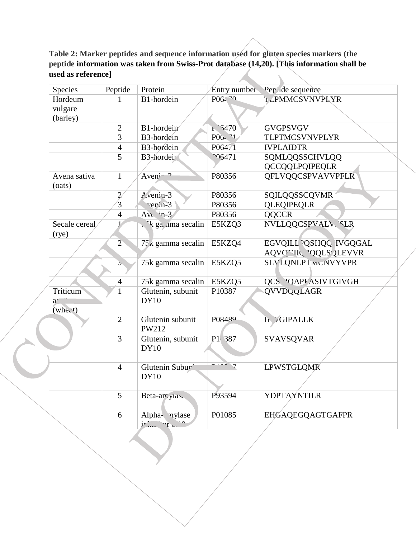#### **Table 2: Marker peptides and sequence information used for gluten species markers (the peptide information was taken from Swiss-Prot database (14,20). [This information shall be used as reference]**  $\overline{\phantom{a}}$

| Species                                                     | Peptide        | Protein                                | <b>Entry</b> number | Per <i>a</i> de sequence                                          |
|-------------------------------------------------------------|----------------|----------------------------------------|---------------------|-------------------------------------------------------------------|
| Hordeum                                                     | 1              | B1-hordein                             | P06470              | <b>LPMMCSVNVPLYR</b>                                              |
| vulgare<br>(barley)                                         |                |                                        |                     |                                                                   |
|                                                             | $\overline{2}$ | B1-hordein                             | $1^{6470}$          | <b>GVGPSVGV</b>                                                   |
|                                                             | $\overline{3}$ | B3-hordein                             | $P06 - 71$          | TLPTMCSVNVPLYR                                                    |
|                                                             | $\overline{4}$ | B3-hordein                             | P06471              | <b>IVPLAIDTR</b>                                                  |
|                                                             | 5              | B3-hordeir                             | <b>06471</b>        | SQMLQQSSCHVLQQ<br>QCCQQLPQIPEQLR                                  |
| Avena sativa<br>(oats)                                      | $\mathbf{1}$   | $Aveni^{-2}$                           | P80356              | QFLVQQCSPVAVVPFLR                                                 |
|                                                             | $\overline{2}$ | $A$ venin-3                            | P80356              | SQILQQSSCQVMR                                                     |
|                                                             | $\overline{3}$ | $\sqrt{er}$ in-3                       | P80356              | <b>QLEQIPEQLR</b>                                                 |
|                                                             | $\overline{4}$ | $Avc.$ $n-3$                           | P80356              | <b>QQCCR</b>                                                      |
| Secale cereal<br>(rye)                                      |                | . 'k ga ama secalin                    | E5KZQ3              | NVLLQQCSPVALV, SLR                                                |
|                                                             | $\overline{2}$ | $75\,\mathrm{\textless}$ gamma secalin | E5KZQ4              | EGVQILL <sup>2</sup> QSHQQ IVGQGAL<br><b>AQVORIL POQLS QLEVVR</b> |
|                                                             | $\mathcal{L}$  | 75k gamma secalin                      | E5KZQ5              | <b>SLVLQNLPTIVICNVYVPR</b>                                        |
|                                                             | $\overline{4}$ | 75k gamma secalin                      | E5KZQ5              | <b>QCS "OAPFASIVTGIVGH</b>                                        |
| Triticum<br>$\mathfrak{d}'$<br>$($ whe $c$ <sup>t</sup> $)$ | 1              | Glutenin, subunit<br>DY10              | P10387              | QVVDQQLAGR                                                        |
|                                                             | $\overline{2}$ | Glutenin subunit<br>PW212              | P08480              | It /GIPALLK                                                       |
|                                                             | $\overline{3}$ | Glutenin, subunit<br><b>DY10</b>       | P1 387              | <b>SVAVSQVAR</b>                                                  |
|                                                             | $\overline{4}$ | Glutenin Subur<br>DY10                 | $\cdots$ 7          | <b>LPWSTGLQMR</b>                                                 |
|                                                             | 5              | Beta-aryllase                          | P93594              | <b>YDPTAYNTILR</b>                                                |
|                                                             | 6              | Alpha- nylase<br>jr ru                 | P01085              | EHGAQEGQAGTGAFPR                                                  |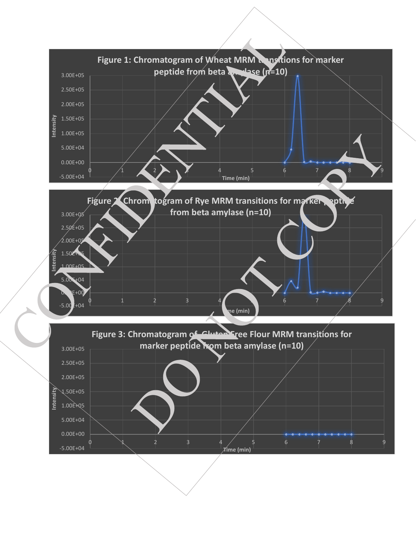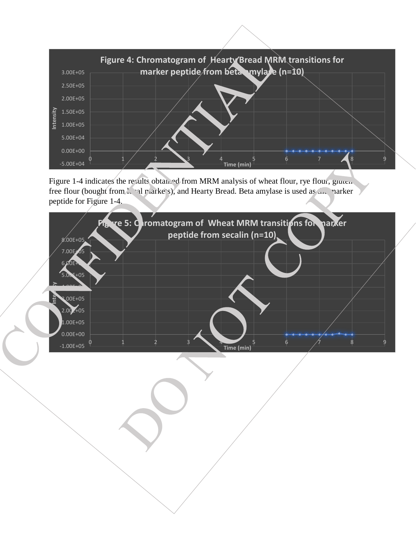

Figure 1-4 indicates the results obtained from MRM analysis of wheat flour, rye flour, gluten free flour (bought from  $\lambda$  al markets), and Hearty Bread. Beta amylase is used as  $\mu$  marker peptide for Figure 1-4.

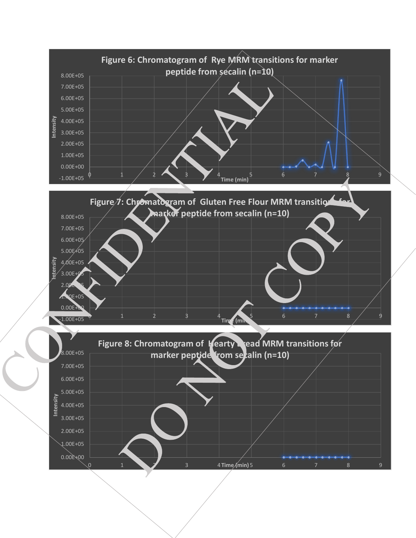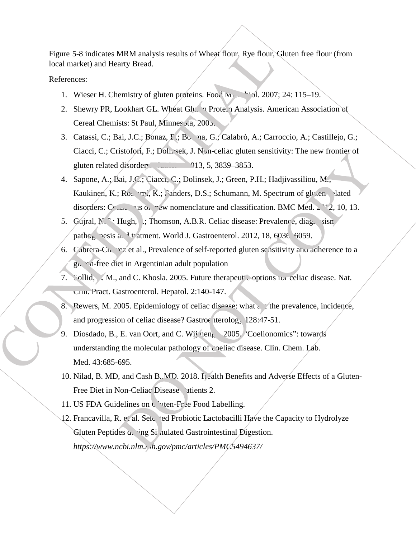Figure 5-8 indicates MRM analysis results of Wheat flour, Rye flour, Gluten free flour (from local market) and Hearty Bread.

References:

- 1. Wieser H. Chemistry of gluten proteins. Food  $M_{12}$ ,  $1.3007$ ; 24: 115–19.
- 2. Shewry PR, Lookhart GL. Wheat Gluten Protein Analysis. American Association of Cereal Chemists: St Paul, Minnes ta, 2005.
- 3. Catassi, C.; Bai, J.C.; Bonaz, I.; Bogna, G.; Calabrò, A.; Carroccio, A.; Castillejo, G.; Ciacci, C.; Cristofori, F.; Dolinsek, J. Non-celiac gluten sensitivity: The new frontier of gluten related disorders. 2013, 5, 3839–3853.
- 4. Sapone, A.; Bai, J.C.; Ciacci, C.; Dolinsek, J.; Green, P.H.; Hadjivassiliou, M.; Kaukinen, K.; Rostami, K.; Sanders, D.S.; Schumann, M. Spectrum of gluten-related disorders:  $C_{\text{max}}$  vis on new nomenclature and classification. BMC Med.  $\geq$   $\degree$  2, 10, 13.
- 5. Gujral, N. F.; Hugh,  $\therefore$  Thomson, A.B.R. Celiac disease: Prevalence, diagnosism pathogenesis and tratment. World J. Gastroenterol. 2012, 18, 6036–6059.
- 6. Cabrera-Chavez et al., Prevalence of self-reported gluten sensitivity and adherence to a  $g_{\mu}$ ,  $\alpha$ -free diet in Argentinian adult population
- 7. Sollid, L. M., and C. Khosla. 2005. Future therapeutic options for celiac disease. Nat. Clin. Pract. Gastroenterol. Hepatol. 2:140-147.
- 8. Pewers, M. 2005. Epidemiology of celiac disease: what a the prevalence, incidence, and progression of celiac disease? Gastroenterolog, 128:47-51.
- 9. Diosdado, B., E. van Oort, and C. Wij neng 2005. 'Coelionomics': towards understanding the molecular pathology of coeliac disease. Clin. Chem. Lab. Med. 43:685-695.
- 10. Nilad, B. MD, and Cash B.,MD. 2018. Health Benefits and Adverse Effects of a Gluten-Free Diet in Non-Celiac Disease Patients 2.
- 11. US FDA Guidelines on Guiden-Free Food Labelling.
- 12. Francavilla, R. et al. Selet ted Probiotic Lactobacilli Have the Capacity to Hydrolyze Gluten Peptides  $\alpha$ , ing Simulated Gastrointestinal Digestion. *https://www.ncbi.nlm.nih.gov/pmc/articles/PMC5494637/*